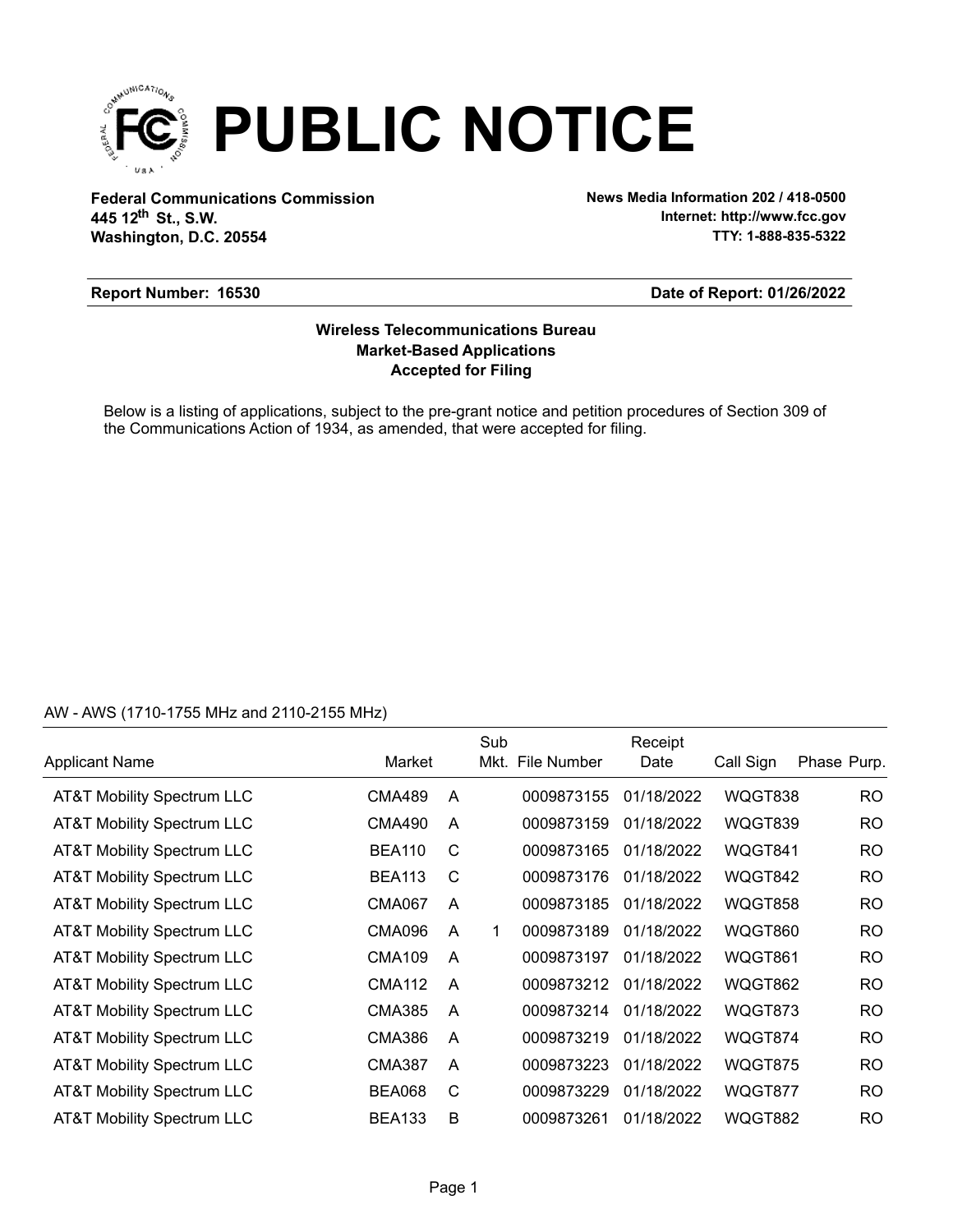

**Federal Communications Commission News Media Information 202 / 418-0500 Washington, D.C. 20554 th 445 12 St., S.W.**

**Internet: http://www.fcc.gov TTY: 1-888-835-5322**

### **Report Number: 16530**

### **Date of Report: 01/26/2022**

## **Accepted for Filing Market-Based Applications Wireless Telecommunications Bureau**

Below is a listing of applications, subject to the pre-grant notice and petition procedures of Section 309 of the Communications Action of 1934, as amended, that were accepted for filing.

## AW - AWS (1710-1755 MHz and 2110-2155 MHz)

|                                       |               |                | Sub |                  | Receipt    |           |             |
|---------------------------------------|---------------|----------------|-----|------------------|------------|-----------|-------------|
| <b>Applicant Name</b>                 | Market        |                |     | Mkt. File Number | Date       | Call Sign | Phase Purp. |
| <b>AT&amp;T Mobility Spectrum LLC</b> | CMA489        | A              |     | 0009873155       | 01/18/2022 | WQGT838   | RO          |
| AT&T Mobility Spectrum LLC            | CMA490        | A              |     | 0009873159       | 01/18/2022 | WQGT839   | <b>RO</b>   |
| <b>AT&amp;T Mobility Spectrum LLC</b> | <b>BEA110</b> | C              |     | 0009873165       | 01/18/2022 | WQGT841   | <b>RO</b>   |
| AT&T Mobility Spectrum LLC            | <b>BEA113</b> | C              |     | 0009873176       | 01/18/2022 | WQGT842   | <b>RO</b>   |
| <b>AT&amp;T Mobility Spectrum LLC</b> | <b>CMA067</b> | A              |     | 0009873185       | 01/18/2022 | WQGT858   | <b>RO</b>   |
| AT&T Mobility Spectrum LLC            | <b>CMA096</b> | A              | 1   | 0009873189       | 01/18/2022 | WQGT860   | <b>RO</b>   |
| <b>AT&amp;T Mobility Spectrum LLC</b> | <b>CMA109</b> | A              |     | 0009873197       | 01/18/2022 | WQGT861   | <b>RO</b>   |
| AT&T Mobility Spectrum LLC            | CMA112        | A              |     | 0009873212       | 01/18/2022 | WQGT862   | <b>RO</b>   |
| <b>AT&amp;T Mobility Spectrum LLC</b> | <b>CMA385</b> | A              |     | 0009873214       | 01/18/2022 | WQGT873   | <b>RO</b>   |
| <b>AT&amp;T Mobility Spectrum LLC</b> | <b>CMA386</b> | $\overline{A}$ |     | 0009873219       | 01/18/2022 | WQGT874   | <b>RO</b>   |
| <b>AT&amp;T Mobility Spectrum LLC</b> | <b>CMA387</b> | A              |     | 0009873223       | 01/18/2022 | WQGT875   | <b>RO</b>   |
| AT&T Mobility Spectrum LLC            | <b>BEA068</b> | C              |     | 0009873229       | 01/18/2022 | WQGT877   | <b>RO</b>   |
| <b>AT&amp;T Mobility Spectrum LLC</b> | <b>BEA133</b> | B              |     | 0009873261       | 01/18/2022 | WQGT882   | <b>RO</b>   |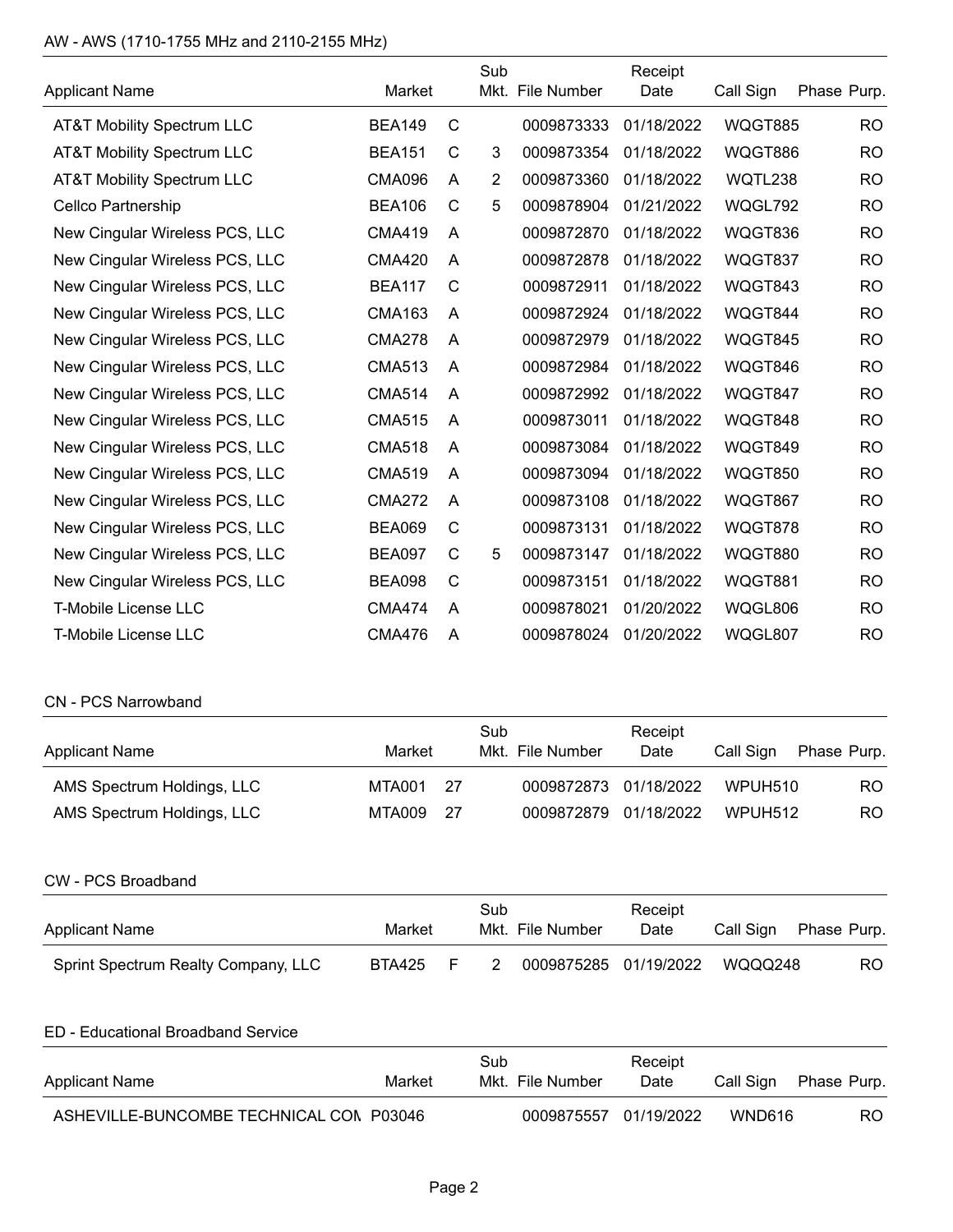# AW - AWS (1710-1755 MHz and 2110-2155 MHz)

|                                       |               |              | Sub            |                  | Receipt    |                |                |
|---------------------------------------|---------------|--------------|----------------|------------------|------------|----------------|----------------|
| <b>Applicant Name</b>                 | Market        |              |                | Mkt. File Number | Date       | Call Sign      | Phase Purp.    |
| <b>AT&amp;T Mobility Spectrum LLC</b> | <b>BEA149</b> | C            |                | 0009873333       | 01/18/2022 | <b>WQGT885</b> | <b>RO</b>      |
| <b>AT&amp;T Mobility Spectrum LLC</b> | <b>BEA151</b> | С            | 3              | 0009873354       | 01/18/2022 | <b>WQGT886</b> | <b>RO</b>      |
| <b>AT&amp;T Mobility Spectrum LLC</b> | <b>CMA096</b> | A            | $\overline{2}$ | 0009873360       | 01/18/2022 | WQTL238        | <b>RO</b>      |
| Cellco Partnership                    | <b>BEA106</b> | C            | 5              | 0009878904       | 01/21/2022 | WQGL792        | <b>RO</b>      |
| New Cingular Wireless PCS, LLC        | <b>CMA419</b> | A            |                | 0009872870       | 01/18/2022 | WQGT836        | <b>RO</b>      |
| New Cingular Wireless PCS, LLC        | <b>CMA420</b> | A            |                | 0009872878       | 01/18/2022 | WQGT837        | <b>RO</b>      |
| New Cingular Wireless PCS, LLC        | <b>BEA117</b> | C            |                | 0009872911       | 01/18/2022 | WQGT843        | <b>RO</b>      |
| New Cingular Wireless PCS, LLC        | <b>CMA163</b> | A            |                | 0009872924       | 01/18/2022 | WQGT844        | <b>RO</b>      |
| New Cingular Wireless PCS, LLC        | <b>CMA278</b> | A            |                | 0009872979       | 01/18/2022 | WQGT845        | <b>RO</b>      |
| New Cingular Wireless PCS, LLC        | <b>CMA513</b> | A            |                | 0009872984       | 01/18/2022 | WQGT846        | <b>RO</b>      |
| New Cingular Wireless PCS, LLC        | <b>CMA514</b> | A            |                | 0009872992       | 01/18/2022 | WQGT847        | <b>RO</b>      |
| New Cingular Wireless PCS, LLC        | <b>CMA515</b> | A            |                | 0009873011       | 01/18/2022 | WQGT848        | <b>RO</b>      |
| New Cingular Wireless PCS, LLC        | <b>CMA518</b> | A            |                | 0009873084       | 01/18/2022 | WQGT849        | <b>RO</b>      |
| New Cingular Wireless PCS, LLC        | <b>CMA519</b> | A            |                | 0009873094       | 01/18/2022 | <b>WQGT850</b> | <b>RO</b>      |
| New Cingular Wireless PCS, LLC        | <b>CMA272</b> | A            |                | 0009873108       | 01/18/2022 | WQGT867        | <b>RO</b>      |
| New Cingular Wireless PCS, LLC        | <b>BEA069</b> | C            |                | 0009873131       | 01/18/2022 | WQGT878        | <b>RO</b>      |
| New Cingular Wireless PCS, LLC        | <b>BEA097</b> | С            | 5              | 0009873147       | 01/18/2022 | <b>WQGT880</b> | <b>RO</b>      |
| New Cingular Wireless PCS, LLC        | <b>BEA098</b> | $\mathsf{C}$ |                | 0009873151       | 01/18/2022 | <b>WQGT881</b> | <b>RO</b>      |
| <b>T-Mobile License LLC</b>           | <b>CMA474</b> | A            |                | 0009878021       | 01/20/2022 | WQGL806        | R <sub>O</sub> |
| T-Mobile License LLC                  | <b>CMA476</b> | A            |                | 0009878024       | 01/20/2022 | WQGL807        | <b>RO</b>      |

# CN - PCS Narrowband

| <b>Applicant Name</b>      | Market    |      | Sub<br>Mkt. File Number | Receipt<br>Date | Call Sign | Phase Purp. |
|----------------------------|-----------|------|-------------------------|-----------------|-----------|-------------|
| AMS Spectrum Holdings, LLC | MTA001    | - 27 | 0009872873 01/18/2022   |                 | WPUH510   | RO.         |
| AMS Spectrum Holdings, LLC | MTA009 27 |      | 0009872879 01/18/2022   |                 | WPUH512   | RO.         |

#### CW - PCS Broadband

| <b>Applicant Name</b>               | Market |       | Sub | Mkt. File Number      | Receipt<br>Date | Call Sign | Phase Purp. |
|-------------------------------------|--------|-------|-----|-----------------------|-----------------|-----------|-------------|
| Sprint Spectrum Realty Company, LLC | BTA425 | $-$ F |     | 0009875285 01/19/2022 |                 | WQQQ248   | RO.         |

## ED - Educational Broadband Service

| Applicant Name                          | Market | Sub | Mkt. File Number      | Receipt<br>Date | Call Sign | Phase Purp. |
|-----------------------------------------|--------|-----|-----------------------|-----------------|-----------|-------------|
| ASHEVILLE-BUNCOMBE TECHNICAL CON P03046 |        |     | 0009875557 01/19/2022 |                 | WND616    | RO.         |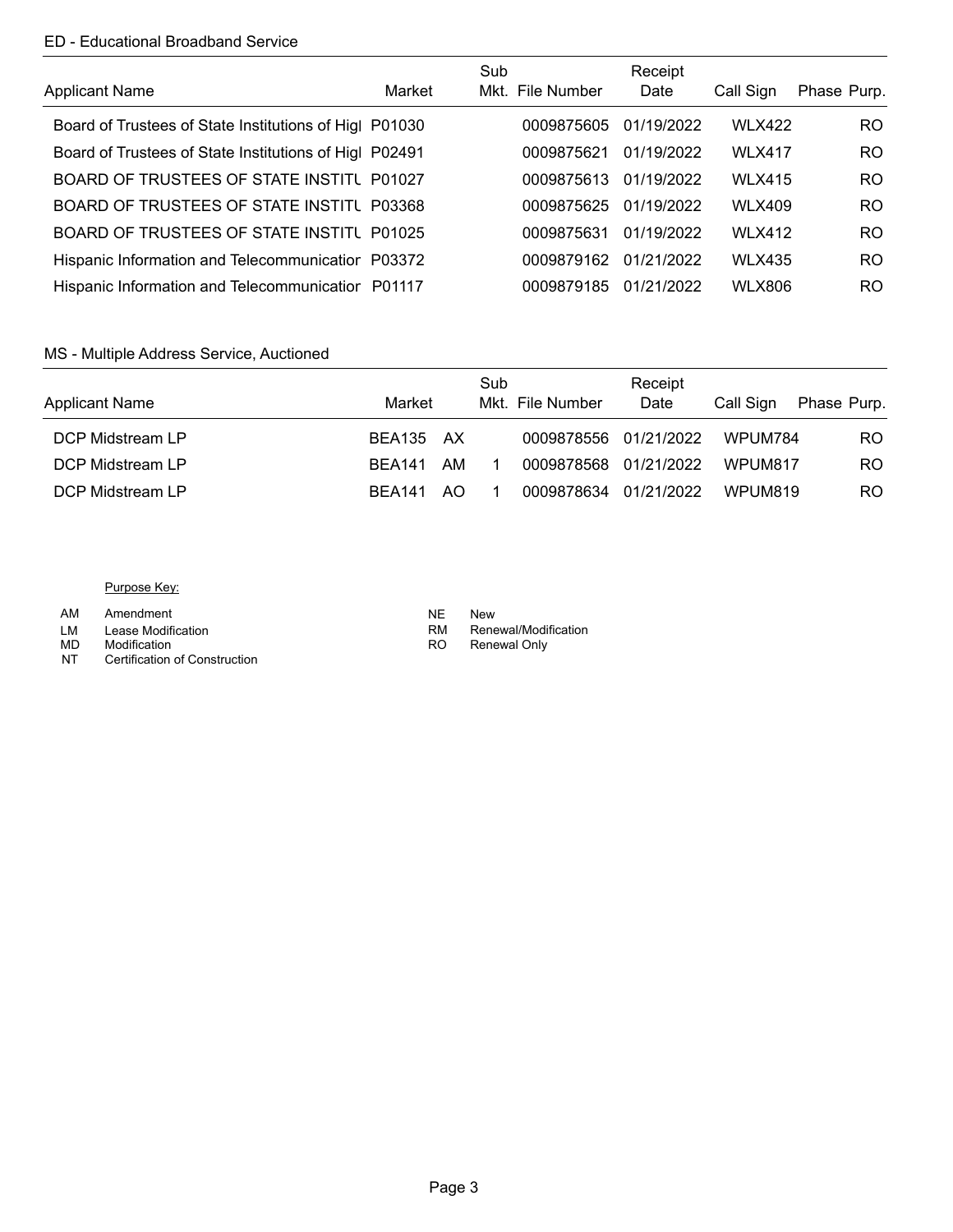### ED - Educational Broadband Service

| <b>Applicant Name</b>                                  | Market | Sub | Mkt. File Number | Receipt<br>Date | Call Sign     | Phase Purp.    |
|--------------------------------------------------------|--------|-----|------------------|-----------------|---------------|----------------|
| Board of Trustees of State Institutions of Higl P01030 |        |     | 0009875605       | 01/19/2022      | <b>WLX422</b> | RO.            |
| Board of Trustees of State Institutions of Higl P02491 |        |     | 0009875621       | 01/19/2022      | <b>WLX417</b> | R <sub>O</sub> |
| BOARD OF TRUSTEES OF STATE INSTITU P01027              |        |     | 0009875613       | 01/19/2022      | <b>WLX415</b> | RO.            |
| BOARD OF TRUSTEES OF STATE INSTITU P03368              |        |     | 0009875625       | 01/19/2022      | <b>WLX409</b> | RO.            |
| BOARD OF TRUSTEES OF STATE INSTITU P01025              |        |     | 0009875631       | 01/19/2022      | <b>WLX412</b> | RO.            |
| Hispanic Information and Telecommunicatior P03372      |        |     | 0009879162       | 01/21/2022      | <b>WLX435</b> | RO.            |
| Hispanic Information and Telecommunicatior P01117      |        |     | 0009879185       | 01/21/2022      | <b>WLX806</b> | RO.            |

### MS - Multiple Address Service, Auctioned

| <b>Applicant Name</b> | Market        |     | Sub | Mkt. File Number      | Receipt<br>Date | Call Sign | Phase Purp. |
|-----------------------|---------------|-----|-----|-----------------------|-----------------|-----------|-------------|
| DCP Midstream LP      | BEA135 AX     |     |     | 0009878556 01/21/2022 |                 | WPUM784   | RO.         |
| DCP Midstream LP      | <b>BFA141</b> | AM  |     | 0009878568 01/21/2022 |                 | WPUM817   | RO.         |
| DCP Midstream LP      | <b>BFA141</b> | AO. |     | 0009878634 01/21/2022 |                 | WPUM819   | RO.         |

#### Purpose Key:

AM Amendment

- LM Lease Modification **RM RM RM RM RM RM RM RM RM**<br>
MD Modification RO
- MD Modification **NATA** RO
- NT Certification of Construction
- NE<br>RM New
- Renewal/Modification
	- Renewal Only